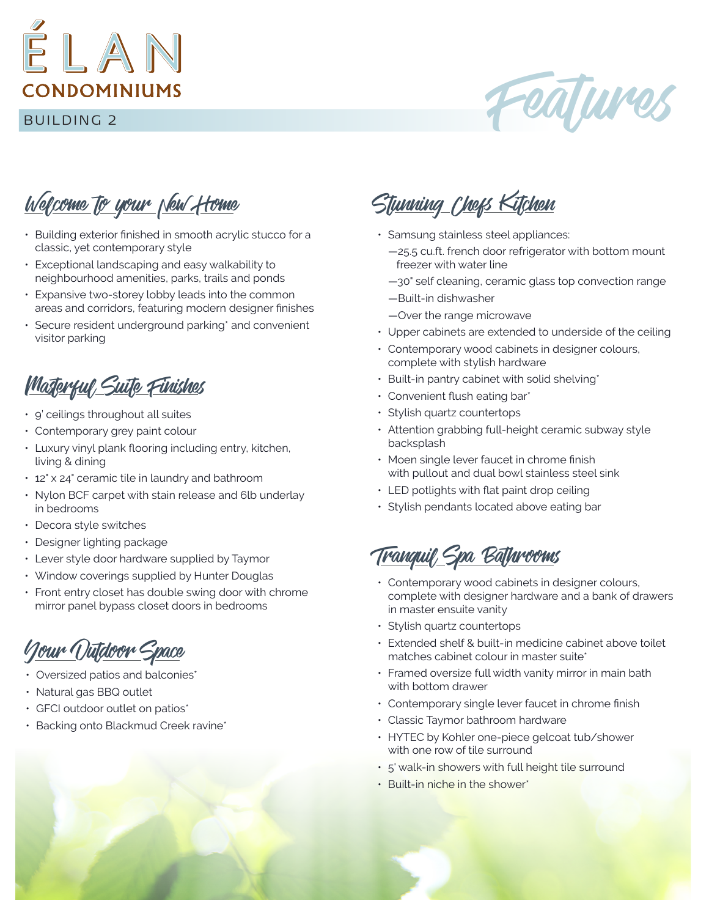

Features

Welcome to your New Home

- Building exterior finished in smooth acrylic stucco for a classic, yet contemporary style
- Exceptional landscaping and easy walkability to neighbourhood amenities, parks, trails and ponds
- Expansive two-storey lobby leads into the common areas and corridors, featuring modern designer finishes
- Secure resident underground parking\* and convenient visitor parking

## Masterful Suite Finishes

- $9'$  ceilings throughout all suites
- Contemporary grey paint colour
- Luxury vinyl plank flooring including entry, kitchen, living & dining
- 12" x 24" ceramic tile in laundry and bathroom
- Nylon BCF carpet with stain release and 6lb underlay in bedrooms
- Decora style switches
- Designer lighting package
- Lever style door hardware supplied by Taymor
- Window coverings supplied by Hunter Douglas
- Front entry closet has double swing door with chrome mirror panel bypass closet doors in bedrooms

Your Outdoor Space

- Oversized patios and balconies\*
- Natural gas BBQ outlet
- GFCI outdoor outlet on patios\*
- Backing onto Blackmud Creek ravine\*

Stunning Chefs Kitchen

- Samsung stainless steel appliances:
	- —25.5 cu.ft. french door refrigerator with bottom mount freezer with water line
	- —30" self cleaning, ceramic glass top convection range
	- —Built-in dishwasher
	- —Over the range microwave
- Upper cabinets are extended to underside of the ceiling
- Contemporary wood cabinets in designer colours, complete with stylish hardware
- $\cdot$  Built-in pantry cabinet with solid shelving\*
- Convenient flush eating bar\*
- Stylish quartz countertops
- Attention grabbing full-height ceramic subway style backsplash
- Moen single lever faucet in chrome finish with pullout and dual bowl stainless steel sink
- LED potlights with flat paint drop ceiling
- Stylish pendants located above eating bar

<u>Tranquil Spa Bathrooms</u>

- Contemporary wood cabinets in designer colours, complete with designer hardware and a bank of drawers in master ensuite vanity
- Stylish quartz countertops
- Extended shelf & built-in medicine cabinet above toilet matches cabinet colour in master suite\*
- Framed oversize full width vanity mirror in main bath with bottom drawer
- Contemporary single lever faucet in chrome finish
- Classic Taymor bathroom hardware
- HYTEC by Kohler one-piece gelcoat tub/shower with one row of tile surround
- 5' walk-in showers with full height tile surround
- Built-in niche in the shower\*